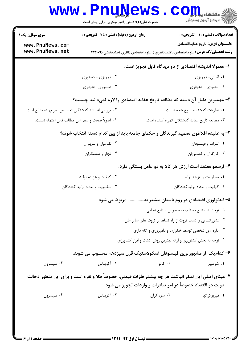|                                                    | <b>www.PnuNews</b><br>حضرت علی(ع): دانش راهبر نیکویی برای ایمان است |             | $\left\ \sum_{j=1}^N\sum_{j=1}^N\sum_{j=1}^N\left\ \sum_{j=1}^N\left(\sum_{j=1}^N\right)^2\right\ ^2\right\ _{\mathcal{H}^s}^2}{\left\ \sum_{j=1}^N\sum_{j=1}^N\left(\sum_{j=1}^N\left(\sum_{j=1}^N\right)^2\right)^2\right\ _{\mathcal{H}^s}^2}.$ |
|----------------------------------------------------|---------------------------------------------------------------------|-------------|----------------------------------------------------------------------------------------------------------------------------------------------------------------------------------------------------------------------------------------------------|
| <b>سری سوال :</b> یک ۱                             | زمان آزمون (دقیقه) : تستی : 75 گشریحی : 0                           |             | <b>تعداد سوالات : تستی : 40 - تشریحی : 0</b>                                                                                                                                                                                                       |
| www.PnuNews.com<br>www.PnuNews.net                 |                                                                     |             | <b>عنــــوان درس:</b> تاريخ عقايداقتصادي<br><b>رشته تحصیلی/کد درس:</b> علوم اقتصادی (اقتصادنظری )،علوم اقتصادی (نظری )چندبخشی1۲۲۱۰۹۶                                                                                                               |
|                                                    |                                                                     |             | ا– معمولا اندیشه اقتصادی از دو دیدگاه قابل تجویز است:                                                                                                                                                                                              |
|                                                    | ۰۲ تجویزی - دستوری                                                  |             | ۰۱ اثباتی- تجویزی                                                                                                                                                                                                                                  |
|                                                    | ۰۴ دستوري- هنجاري                                                   |             | ۰۳ تجویزی - هنجاری                                                                                                                                                                                                                                 |
|                                                    |                                                                     |             | ۲– مهمترین دلیل آن دسته که مطالعه تاریخ عقاید اقتصادی را لازم نمیدانند چیست؟                                                                                                                                                                       |
| ۰۲ بررسی اندیشه گذشتگان تخصیص غیر بهینه منابع است. |                                                                     |             | ٠١ نظريات گذشته منسوخ شده نيست.                                                                                                                                                                                                                    |
| ۰۴ اصولاً صحت و سقم این مطالب قابل اعتماد نیست.    |                                                                     |             | ۰۳ مطالعه تاريخ عقايد گذشتگان گمراه كننده است.                                                                                                                                                                                                     |
|                                                    |                                                                     |             | ۳- به عقیده افلاطون تصمیم گیرندگان و حکمای جامعه باید از بین کدام دسته انتخاب شوند؟                                                                                                                                                                |
|                                                    | ۰۲ نظامیان و سربازان                                                |             | ۰۱ اشراف و فیلسوفان                                                                                                                                                                                                                                |
|                                                    | ۰۴ تجار و صنعتگران                                                  |             | ٠٣ کارگران و کشاورزان                                                                                                                                                                                                                              |
|                                                    |                                                                     |             | ۴- ارسطو معتقد است ارزش هر کالا به دو عامل بستگی دارد.                                                                                                                                                                                             |
|                                                    | ۰۲ کیفیت و هزینه تولید                                              |             | ۰۱ مطلوبیت و هزینه تولید                                                                                                                                                                                                                           |
|                                                    | ۰۴ مطلوبیت و تعداد تولید کنندگان                                    |             | ۰۳ کیفیت و تعداد تولیدکنندگان                                                                                                                                                                                                                      |
|                                                    |                                                                     |             | ۵– ایدئولوژی اقتصادی در روم باستان بیشتر به مربوط می شود.                                                                                                                                                                                          |
|                                                    |                                                                     |             | ٠١ توجه به صنايع مختلف به خصوص صنايع نظامي                                                                                                                                                                                                         |
|                                                    |                                                                     |             | ۰۲ کشورگشایی و کسب ثروت از راه تسلط بر ثروت های سایر ملل                                                                                                                                                                                           |
|                                                    |                                                                     |             | ۰۳ اداره امور شخصی توسط خانوارها و دامپروری و گله داری                                                                                                                                                                                             |
|                                                    |                                                                     |             | ۰۴ توجه به بخش کشاورزی و ارائه بهترین روش کشت و ابزار کشاورزی                                                                                                                                                                                      |
|                                                    |                                                                     |             | ۶– کدامیک از مشهورترین فیلسوفان اسکولاستیک قرن سیزدهم محسوب می شوند.                                                                                                                                                                               |
| ۰۴ سیسرون                                          | ۰۳ آکویناس                                                          | ۰۲ کاتو     | ۰۱ شومپيز                                                                                                                                                                                                                                          |
|                                                    |                                                                     |             | ۷- مبنای اصلی این تفکر انباشت هر چه بیشتر فلزات قیمتی، خصوصاً طلا و نقره است و برای این منظور دخالت<br>دولت در اقتصاد خصوصاً در امر صادرات و واردات تجویز می شود.                                                                                  |
| ۰۴ سیسرون                                          | ۰۳ آکویناس                                                          | ۰۲ سوداگران | ۰۱ فیزیوکراتها                                                                                                                                                                                                                                     |
|                                                    |                                                                     |             |                                                                                                                                                                                                                                                    |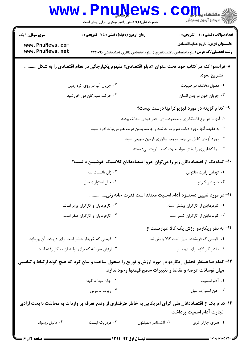|                                                                                                          | www.PnuNews                                      |                     | ان دانشکاه پیام <mark>بر</mark><br>ا∜ مرکز آزمهن وسنجش                                                                               |
|----------------------------------------------------------------------------------------------------------|--------------------------------------------------|---------------------|--------------------------------------------------------------------------------------------------------------------------------------|
|                                                                                                          | حضرت علی(ع): دانش راهبر نیکویی برای ایمان است    |                     |                                                                                                                                      |
| <b>سری سوال : ۱ یک</b>                                                                                   | زمان آزمون (دقیقه) : تستی : 75 ٪ تشریحی : 0      |                     | <b>تعداد سوالات : تستی : 40 - تشریحی : 0</b>                                                                                         |
| www.PnuNews.com<br>www.PnuNews.net                                                                       |                                                  |                     | <b>عنــــوان درس:</b> تاريخ عقايداقتصادي                                                                                             |
|                                                                                                          |                                                  |                     | <b>رشته تحصیلی/کد درس:</b> علوم اقتصادی (اقتصادنظری )،علوم اقتصادی (نظری )چندبخشی۱۲۲۱۰۹۶                                             |
|                                                                                                          |                                                  |                     | ۸-فرانسوا کنه در کتاب خود تحت عنوان «تابلو اقتصادی» مفهوم یکپارچگی در نظام اقتصادی را به شکل                                         |
|                                                                                                          |                                                  |                     | تشريح نمود.                                                                                                                          |
|                                                                                                          | ۰۲ جریان آب در روی کره زمین                      |                     | ۰۱ فصول مختلف در طبیعت                                                                                                               |
|                                                                                                          | ۰۴ حرکت سیارگان دور خورشید                       |                     | ۰۳ جریان خون در بدن انسان                                                                                                            |
|                                                                                                          |                                                  |                     | ۹- کدام گزینه در مورد فیزیوکراتها درست نیست؟                                                                                         |
|                                                                                                          |                                                  |                     | ۰۱ آنها با هر نوع قانونگذاری و محدودسازی رفتار فردی مخالف بودند                                                                      |
|                                                                                                          |                                                  |                     | ۲ . به عقیده آنها وجود دولت ضرورت نداشته و جامعه بدون دولت هم میتواند اداره شود.                                                     |
|                                                                                                          |                                                  |                     | ۰۳ وجود آزادی کامل میتواند موجب برقراری قوانین طبیعی شود.                                                                            |
|                                                                                                          |                                                  |                     | ۰۴ آنها کشاورزی را بخش مولد جهت کسب ثروت میدانستند.                                                                                  |
|                                                                                                          |                                                  |                     | ∙۱− کدام یک از اقتصاددانان زیر را می توان جزو اقتصاددانان کلاسیک خوشبین دانست؟                                                       |
|                                                                                                          | ۰۲ ژان باتیست سه                                 |                     | ٠١ توماس رابرت مالتوس                                                                                                                |
|                                                                                                          | ۰۴ جان استوارت میل                               |                     | ۰۳ دیوید ریکاردو                                                                                                                     |
|                                                                                                          |                                                  |                     | 11- در مورد تعیین دستمزد آدام اسمیت معتقد است قدرت چانه زنی .                                                                        |
|                                                                                                          | ۰۲ کارفرمایان و کارگران برابر است.               |                     | ٠١ كارفرمايان از كارگران بيشتر است.                                                                                                  |
|                                                                                                          | ۰۴ کارفرمایان و کارگران صفر است.                 |                     | ٠٣ كارفرمايان از كارگران كمتر است.                                                                                                   |
|                                                                                                          |                                                  |                     | <b>۱۲- به نظر ریکاردو ارزش یک کالا عبارتست از</b>                                                                                    |
| ۰۲ قیمتی که خریدار حاضر است برای دریافت آن بپردازد.                                                      |                                                  |                     | ۰۱ قیمتی که فروشنده مایل است کالا را بفروشد.                                                                                         |
|                                                                                                          | ۰۴ ارزش سرمایه که برای تولید آن به کار رفته است. |                     | ۰۳ مقدار کار لازم برای تهیه آن                                                                                                       |
| ۱۳- کدام صاحبنظر تحلیل ریکاردو در مورد ارزش و توزیع را متحول ساخت و بیان کرد که هیچ گونه ارتباط و تناسبی |                                                  |                     |                                                                                                                                      |
|                                                                                                          |                                                  |                     | میان نوسانات عرضه و تقاضا و تغییرات سطح قیمتها وجود ندارد.                                                                           |
|                                                                                                          | ۰۲ جان مینارد کینز                               |                     | ٠١ آدام اسميت                                                                                                                        |
|                                                                                                          | ۰۴ رابرت مالتوس                                  |                     | ۰۳ جان استوارت ميل                                                                                                                   |
|                                                                                                          |                                                  |                     | ۱۴–کدام یک از اقتصاددانان ملی گرای امریکایی به خاطر طرفداری از وضع تعرفه بر واردات به مخالفت با بحث ازادی<br>تجارت آدام اسميت پرداخت |
| ۰۴ دانیل ریموند                                                                                          | ۰۳ فردریک لیست                                   | ٠٢ الكساندر هميلتون | ۰۱ هنری چارلز کری                                                                                                                    |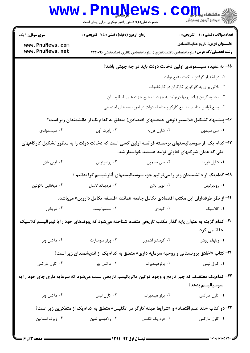|                                                                                                          | حضرت علی(ع): دانش راهبر نیکویی برای ایمان است                                                                  |                   | رآ - مرڪز آزمون وسنڊش                                                                                                                                    |
|----------------------------------------------------------------------------------------------------------|----------------------------------------------------------------------------------------------------------------|-------------------|----------------------------------------------------------------------------------------------------------------------------------------------------------|
| <b>سری سوال : ۱ یک</b>                                                                                   | زمان آزمون (دقیقه) : تستی : 75 ٪ تشریحی : 0                                                                    |                   | <b>تعداد سوالات : تستی : 40 ٪ تشریحی : 0</b>                                                                                                             |
| www.PnuNews.com<br>www.PnuNews.net                                                                       |                                                                                                                |                   | <b>عنــــوان درس:</b> تاريخ عقايداقتصادي<br><b>رشته تحصیلی/کد درس:</b> علوم اقتصادی (اقتصادنظری )،علوم اقتصادی (نظری )چندبخشی۱۲۲۱۰۹۶                     |
|                                                                                                          |                                                                                                                |                   | ۱۵- به عقیده سیسموندی اولین دخالت دولت باید در چه جهتی باشد؟                                                                                             |
|                                                                                                          |                                                                                                                |                   | ٠١ در اختيار گرفتن مالكيت منابع توليد                                                                                                                    |
|                                                                                                          |                                                                                                                |                   | ۰۲ تلاش برای به کارگیری کارگران در کارخانجات                                                                                                             |
|                                                                                                          |                                                                                                                |                   | ۰۳ محدود کردن زیاده رویها درتولید به جهت تصحیح جهت های نامطلوب آن                                                                                        |
|                                                                                                          |                                                                                                                |                   | ۰۴ وضع قوانین مناسب به نفع کارگر و مداخله دولت در امور بیمه های اجتماعی                                                                                  |
|                                                                                                          |                                                                                                                |                   | ۱۶– پیشنهاد تشکیل فلانستر (نوعی جمعیتهای اقتصادی) متعلق به کدامیک از دانشمندان زیر است؟                                                                  |
| ۰۴ سیسموندی                                                                                              | ۰۳ رابرت آون                                                                                                   | ۰۲ شارل فوريه     | ۰۱ سن سیمون                                                                                                                                              |
|                                                                                                          |                                                                                                                |                   | ۱۷– کدام یک ًاز سوسیالیستهای برجسته فرانسه اولین کسی است که دخالت دولت را به منظور تشکیل کارگاههای<br>ملی که همان شرکتهای تعاونی تولید هستند خواستار شد. |
| ۰۴ لويي بلان                                                                                             | ۰۳ رودبرتوس                                                                                                    | ۰۲ سن سيمون       | ۰۱ شارل فوريه                                                                                                                                            |
|                                                                                                          |                                                                                                                |                   | ۱۸– کدام یک از دانشمندان زیر را می توانیم جزء سوسیالیستهای آنارشیسم گرا بدانیم ؟                                                                         |
| ۰۴ میخائیل باکوئین                                                                                       | ۰۳ فرديناند لاسال                                                                                              | ٠٢ لويي بلان      | ۰۱ رودبر توس                                                                                                                                             |
|                                                                                                          |                                                                                                                |                   | ۱۹- از نظر طرفداران این مکتب اقتصادی تکامل جامعه همانند «فلسفه تکامل داروین» میباشد.                                                                     |
| ۰۴ تاریخی                                                                                                | ۰۱ کلاسیک سوسیالیست (۲۰ کینزی میلادی) به سوسیالیست (۲۰ کلاسیک میلادی) به این کلیست است که از کلیست از این کلیس |                   |                                                                                                                                                          |
|                                                                                                          |                                                                                                                |                   | +۲- کدام گزینه به عنوان پایه گذار مکتب تاریخی متقدم شناخته میشود که پیوندهای خود را با لیبرالیسم کلاسیک<br>حفظ می کرد.                                   |
| ۰۴ ماکس وبر                                                                                              | ۰۲ گوستاو اشمولر مسومبارت سومبارت                                                                              |                   | ۰۱ ویلهلم روشر                                                                                                                                           |
|                                                                                                          |                                                                                                                |                   | <b>۲۱</b> - کتاب «اخلاق پروتستانی و روحیه سرمایه داری» متعلق به کدامیک از اندیشمندان زیر است؟                                                            |
| ۰۴ کارل مارکس                                                                                            | ۰۲ برنوهیلدبراند مستخدم ۲۰ ماکس وبر                                                                            |                   | ۰۱ کارل نیس                                                                                                                                              |
| ۲۲- کدام یک معتقدند که جبر تاریخ و وجود قوانین ماتر بالیسم تاریخی سبب میشود که سرمایه داری جای خود را به |                                                                                                                |                   |                                                                                                                                                          |
|                                                                                                          |                                                                                                                |                   | سوسياليسم بدهد؟                                                                                                                                          |
| ۰۴ ماکس وبر                                                                                              | ۰۳ کارل نیس                                                                                                    | ۰۲ برنو هیلدبراند | ۰۱ کارل مارکس                                                                                                                                            |
|                                                                                                          |                                                                                                                |                   | ۲۳- دو کتاب «نقد علم اقتصاد» و «شرایط طبقه کارگر در انگلیس» متعلق به کدامیک از متفکرین زیر است؟                                                          |
| ۰۴ ژوزف استالین                                                                                          | ۰۲ فردریک انگلس مستاقل به کاردیمیر لنین                                                                        |                   | ۰۱ کارل مارکس                                                                                                                                            |

 $= 1.11 \cdot 11.001$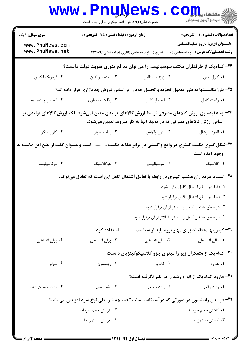|                                                                                                | <b>www.PnuNews</b>                                                                                  |                                                                                          | الله دانشکاه پیام برای C<br>این اسکن آزمون وسنجش                                       |
|------------------------------------------------------------------------------------------------|-----------------------------------------------------------------------------------------------------|------------------------------------------------------------------------------------------|----------------------------------------------------------------------------------------|
|                                                                                                | حضرت علی(ع): دانش راهبر نیکویی برای ایمان است                                                       |                                                                                          |                                                                                        |
| <b>سری سوال : ۱ یک</b>                                                                         | زمان آزمون (دقیقه) : تستی : 75 گشریحی : 0                                                           |                                                                                          | <b>تعداد سوالات : تستی : 40 قشریحی : 0</b><br><b>عنــــوان درس:</b> تاريخ عقايداقتصادي |
| www.PnuNews.com<br>www.PnuNews.net                                                             |                                                                                                     | <b>رشته تحصیلی/کد درس:</b> علوم اقتصادی (اقتصادنظری )،علوم اقتصادی (نظری )چندبخشی۱۲۲۱۰۹۶ |                                                                                        |
|                                                                                                | ۲۴- کدام یک از طرفداران مکتب سوسیالیسم را می توان مدافع تئوری تقویت دولت دانست؟                     |                                                                                          |                                                                                        |
| ۰۴ فردریک انگلس                                                                                | ۰۳ ولاديمير لنين                                                                                    | ۰۲ ژوزف استالین                                                                          | ۰۱ کارل نیس                                                                            |
|                                                                                                | ۲۵- مارژینالیستها به طور معمول تجزیه و تحلیل خود را بر اساس فروض چه بازاری قرار داده اند؟           |                                                                                          |                                                                                        |
| ۰۴ انحصار چندجانبه                                                                             | ۰۳ رقابت انحصاري                                                                                    | ۰۲ انحصار کامل                                                                           | ٠١. رقابت كامل                                                                         |
|                                                                                                | ۲۶– به عقیده وی ارزش کالاهای مصرفی توسط ارزش کالاهای تولیدی معین نمیشود بلکه ارزش کالاهای تولیدی بر |                                                                                          |                                                                                        |
|                                                                                                |                                                                                                     | اساس ارزش کالاهای مصرفی که در تولید آنها به کار میروند تعیین میشود.                      |                                                                                        |
| ۰۴ کارل منگر                                                                                   | ۰۳ ویلیام جونز                                                                                      | ٠٢ لئون والراس                                                                           | ۰۱ آلفرد مارشال                                                                        |
| ۲۷-شکل گیری مکتب کینزی در واقع واکنشی در برابر عقاید مکتب  است و میتوان گفت از بطن این مکتب به |                                                                                                     |                                                                                          | وجود آمده است.                                                                         |
| ۰۴ مرکانتیلیسم                                                                                 | ۰۳ نئوکلاسیک                                                                                        | ٠٢ سوسياليسم                                                                             | ۰۱ کلاسیک                                                                              |
|                                                                                                | ۲۸– اعتقاد طرفداران مکتب کینزی در رابطه با تعادل اشتغال کامل این است که تعادل میتواند:              |                                                                                          |                                                                                        |
|                                                                                                |                                                                                                     |                                                                                          | ۰۱ فقط در سطح اشتغال کامل برقرار شود.                                                  |
|                                                                                                |                                                                                                     |                                                                                          | ۰۲ فقط در سطح اشتغال ناقص برقرار شود.                                                  |
|                                                                                                |                                                                                                     |                                                                                          | ۰۳ در سطح اشتغال کامل و پایینتر از آن برقرار شود.                                      |
|                                                                                                |                                                                                                     | ۰۴ در سطح اشتغال کامل و پایینتر یا بالاتر از آن برقرار شود.                              |                                                                                        |
|                                                                                                |                                                                                                     | ۲۹- کینزینها معتقدند برای مهار تورم باید از سیاست  استفاده کرد.                          |                                                                                        |
| ۰۴ پولی انقباضی                                                                                | ۰۳ پولی انبساطی                                                                                     | ۰۲ مالی انقباضی                                                                          | ۰۱ مالی انبساطی                                                                        |
|                                                                                                |                                                                                                     | ۳۰- کدام یک از متفکران زیر را میتوان جزو کلاسیکوکینزیان دانست                            |                                                                                        |
| ۰۴ سولو                                                                                        | ۰۳ رابینسون                                                                                         | ۰۲ کالدور                                                                                | ۰۱ هارود                                                                               |
|                                                                                                |                                                                                                     | ۳۱- هارود کدامیک از انواع رشد را در نظر نگرفته است؟                                      |                                                                                        |
| ۰۴ رشد تضمین شده                                                                               | ۰۳ رشد اسمی                                                                                         | ۰۲ رشد طبیعی                                                                             | ۰۱ رشد واقعی                                                                           |
|                                                                                                | 32- در مدل رابینسون در صورتی که درآمد ثابت بماند، تحت چه شرایطی نرخ سود افزایش می یابد؟             |                                                                                          |                                                                                        |
|                                                                                                | ٢. افزايش حجم سرمايه                                                                                |                                                                                          | ۰۱ کاهش حجم سرمایه                                                                     |
|                                                                                                | ۰۴ افزایش دستمزدها                                                                                  |                                                                                          | ۰۳ کاهش دستمزدها                                                                       |
|                                                                                                |                                                                                                     |                                                                                          |                                                                                        |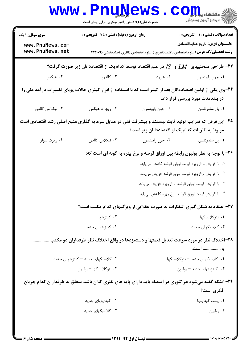| <b>WWW</b>                                                                                                                                            | <b>Luñile</b> M<br>حضرت علی(ع): دانش راهبر نیکویی برای ایمان است |                                                                                                                                                                                                                                                                                                             | الاد دانشگاه پ <b>یا بارای</b><br>    > مرکز آزمون وسنجش                                |
|-------------------------------------------------------------------------------------------------------------------------------------------------------|------------------------------------------------------------------|-------------------------------------------------------------------------------------------------------------------------------------------------------------------------------------------------------------------------------------------------------------------------------------------------------------|-----------------------------------------------------------------------------------------|
| <b>سری سوال : ۱ یک</b><br>www.PnuNews.com<br>www.PnuNews.net                                                                                          | زمان آزمون (دقیقه) : تستی : 75 آتشریحی : 0                       | <b>رشته تحصیلی/کد درس:</b> علوم اقتصادی (اقتصادنظری )،علوم اقتصادی (نظری )چندبخشی1۲۲۱۰۹۶                                                                                                                                                                                                                    | <b>تعداد سوالات : تستی : 40 - تشریحی : 0</b><br><b>عنـــوان درس:</b> تاريخ عقايداقتصادي |
| ۰۴ هیکس                                                                                                                                               | ۰۳ کالدور                                                        | ۳۳ طراحی منحنیهای $\,M$ و $\,$ در علم اقتصاد توسط کدامیک از اقتصاددانان زیر صورت گرفت؟ $\,$<br>۰۲ هارود                                                                                                                                                                                                     | ۰۱ جون رابينسون                                                                         |
| ۳۴-وی یکی از اولین اقتصاددانان بعد از کینز است که با استفاده از ابزار کینزی حالات پویای تغییرات درآمد ملی را                                          |                                                                  |                                                                                                                                                                                                                                                                                                             | در بلندمدت مورد بررسی قرار داد.                                                         |
| ۰۴ نیکلاس کالدور                                                                                                                                      | ۰۳ ریچارد هیکس                                                   | ۰۲ جون رابينسون                                                                                                                                                                                                                                                                                             | ٠١ پل ساموئلسن                                                                          |
| ۳۵– این فرض که ضرایب تولید ثابت نیستند و پیشرفت فنی در مقابل سرمایه گذاری منبع اصلی رشد اقتصادی است<br>مربوط به نظریات کدامیک از اقتصاددانان زیر است؟ |                                                                  |                                                                                                                                                                                                                                                                                                             |                                                                                         |
| ۰۴ رابرت سولو                                                                                                                                         | ۰۳ نیکلاس کالدور                                                 | ۰۲ جون رابينسون                                                                                                                                                                                                                                                                                             | ٠١ پل ساموئلسن                                                                          |
|                                                                                                                                                       |                                                                  | ۳۶- با توجه به نظر پولیون رابطه بین اوراق قرضه و نرخ بهره به گونه ای است که:<br>٠١. با افزايش نرخ بهره قيمت اوراق قرضه كاهش مىيابد.<br>۰۲ با افزایش نرخ بهره قیمت اوراق قرضه افزایش مییابد.<br>۰۳ با افزایش قیمت اوراق قرضه، نرخ بهره افزایش مییابد.<br>۰۴ با افزایش قیمت اوراق قرضه، نرخ بهره کاهش مییابد. |                                                                                         |
|                                                                                                                                                       |                                                                  | ۳۷- اعتقاد به شکل گیری انتظارات به صورت عقلایی از ویژگیهای کدام مکتب است؟                                                                                                                                                                                                                                   |                                                                                         |
|                                                                                                                                                       | ۰۲ کینزینها<br>۰۴ کینزینهای جدید                                 |                                                                                                                                                                                                                                                                                                             | ۰۱ نئوكلاسيكها<br>۰۳ کلاسیکهای جدید                                                     |
|                                                                                                                                                       |                                                                  | ۳۸–اختلاف نظر در مورد سرعت تعدیل قیمتها و دستمزدها در واقع اختلاف نظر طرفداران دو مکتب                                                                                                                                                                                                                      | و  است.                                                                                 |
|                                                                                                                                                       | ۰۲ کلاسیکهای جدید – کینزینهای جدید                               |                                                                                                                                                                                                                                                                                                             | ۰۱ کلاسیکهای جدید – نئوکلاسیکها                                                         |
|                                                                                                                                                       | ۰۴ نئوكلاسيكها – پوليون                                          |                                                                                                                                                                                                                                                                                                             | ۰۳ کینزینهای جدید – پولیون                                                              |
| ۳۹- اینکه گفته میشود هر تئوری در اقتصاد باید دارای پایه های نظری کلان باشد متعلق به طرفداران کدام جریان                                               |                                                                  |                                                                                                                                                                                                                                                                                                             | فكرى است؟                                                                               |
|                                                                                                                                                       | ۰۲ کینزینهای جدید                                                |                                                                                                                                                                                                                                                                                                             | ٠١. يست كينزينها                                                                        |
|                                                                                                                                                       | ۰۴ کلاسیکهای جدید                                                |                                                                                                                                                                                                                                                                                                             | بوليون $\cdot$ ۳                                                                        |